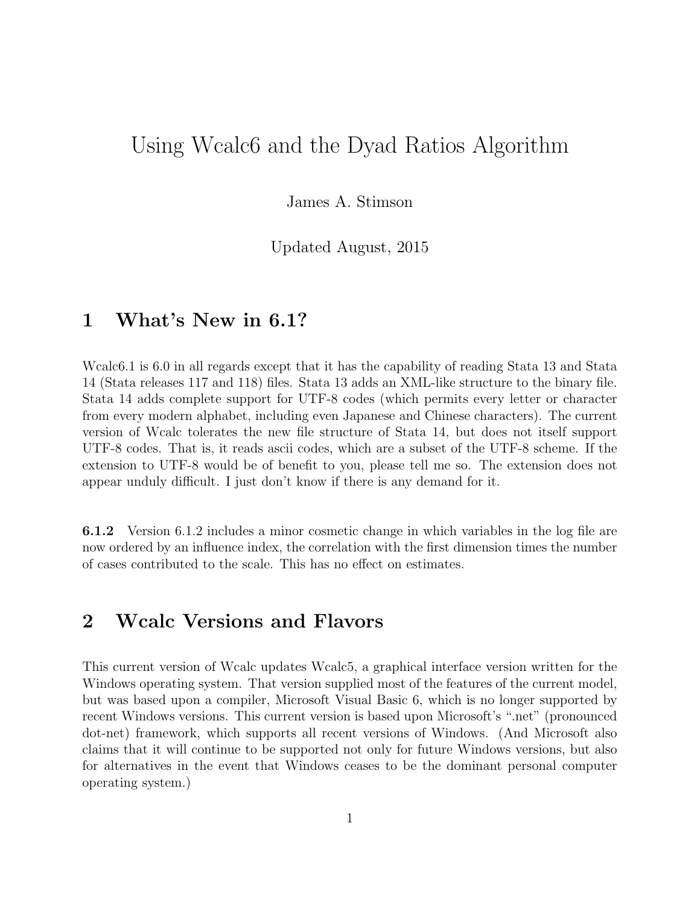# Using Wcalc6 and the Dyad Ratios Algorithm

James A. Stimson

Updated August, 2015

### 1 What's New in 6.1?

Wcalc6.1 is 6.0 in all regards except that it has the capability of reading Stata 13 and Stata 14 (Stata releases 117 and 118) files. Stata 13 adds an XML-like structure to the binary file. Stata 14 adds complete support for UTF-8 codes (which permits every letter or character from every modern alphabet, including even Japanese and Chinese characters). The current version of Wcalc tolerates the new file structure of Stata 14, but does not itself support UTF-8 codes. That is, it reads ascii codes, which are a subset of the UTF-8 scheme. If the extension to UTF-8 would be of benefit to you, please tell me so. The extension does not appear unduly difficult. I just don't know if there is any demand for it.

6.1.2 Version 6.1.2 includes a minor cosmetic change in which variables in the log file are now ordered by an influence index, the correlation with the first dimension times the number of cases contributed to the scale. This has no effect on estimates.

# 2 Wcalc Versions and Flavors

This current version of Wcalc updates Wcalc5, a graphical interface version written for the Windows operating system. That version supplied most of the features of the current model, but was based upon a compiler, Microsoft Visual Basic 6, which is no longer supported by recent Windows versions. This current version is based upon Microsoft's ".net" (pronounced dot-net) framework, which supports all recent versions of Windows. (And Microsoft also claims that it will continue to be supported not only for future Windows versions, but also for alternatives in the event that Windows ceases to be the dominant personal computer operating system.)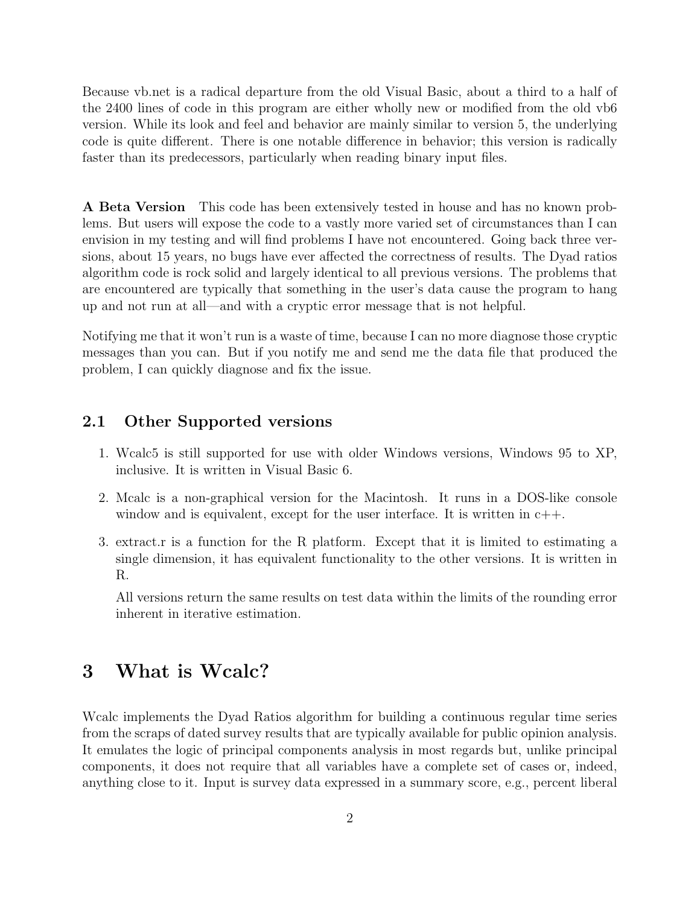Because vb.net is a radical departure from the old Visual Basic, about a third to a half of the 2400 lines of code in this program are either wholly new or modified from the old vb6 version. While its look and feel and behavior are mainly similar to version 5, the underlying code is quite different. There is one notable difference in behavior; this version is radically faster than its predecessors, particularly when reading binary input files.

A Beta Version This code has been extensively tested in house and has no known problems. But users will expose the code to a vastly more varied set of circumstances than I can envision in my testing and will find problems I have not encountered. Going back three versions, about 15 years, no bugs have ever affected the correctness of results. The Dyad ratios algorithm code is rock solid and largely identical to all previous versions. The problems that are encountered are typically that something in the user's data cause the program to hang up and not run at all—and with a cryptic error message that is not helpful.

Notifying me that it won't run is a waste of time, because I can no more diagnose those cryptic messages than you can. But if you notify me and send me the data file that produced the problem, I can quickly diagnose and fix the issue.

### 2.1 Other Supported versions

- 1. Wcalc5 is still supported for use with older Windows versions, Windows 95 to XP, inclusive. It is written in Visual Basic 6.
- 2. Mcalc is a non-graphical version for the Macintosh. It runs in a DOS-like console window and is equivalent, except for the user interface. It is written in  $c++$ .
- 3. extract.r is a function for the R platform. Except that it is limited to estimating a single dimension, it has equivalent functionality to the other versions. It is written in R.

All versions return the same results on test data within the limits of the rounding error inherent in iterative estimation.

## 3 What is Wcalc?

Wcalc implements the Dyad Ratios algorithm for building a continuous regular time series from the scraps of dated survey results that are typically available for public opinion analysis. It emulates the logic of principal components analysis in most regards but, unlike principal components, it does not require that all variables have a complete set of cases or, indeed, anything close to it. Input is survey data expressed in a summary score, e.g., percent liberal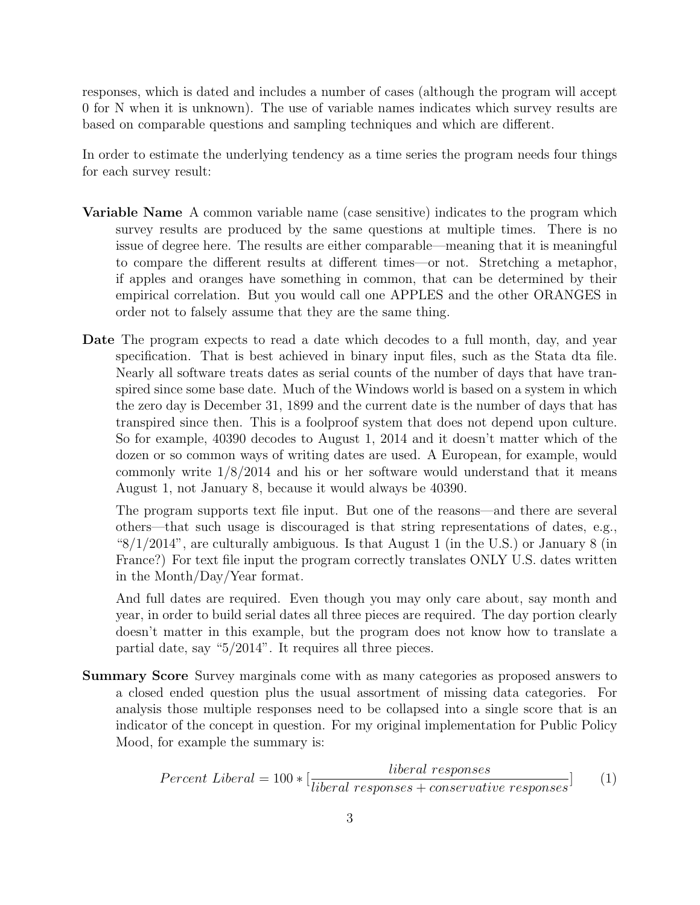responses, which is dated and includes a number of cases (although the program will accept 0 for N when it is unknown). The use of variable names indicates which survey results are based on comparable questions and sampling techniques and which are different.

In order to estimate the underlying tendency as a time series the program needs four things for each survey result:

- Variable Name A common variable name (case sensitive) indicates to the program which survey results are produced by the same questions at multiple times. There is no issue of degree here. The results are either comparable—meaning that it is meaningful to compare the different results at different times—or not. Stretching a metaphor, if apples and oranges have something in common, that can be determined by their empirical correlation. But you would call one APPLES and the other ORANGES in order not to falsely assume that they are the same thing.
- Date The program expects to read a date which decodes to a full month, day, and year specification. That is best achieved in binary input files, such as the Stata dta file. Nearly all software treats dates as serial counts of the number of days that have transpired since some base date. Much of the Windows world is based on a system in which the zero day is December 31, 1899 and the current date is the number of days that has transpired since then. This is a foolproof system that does not depend upon culture. So for example, 40390 decodes to August 1, 2014 and it doesn't matter which of the dozen or so common ways of writing dates are used. A European, for example, would commonly write 1/8/2014 and his or her software would understand that it means August 1, not January 8, because it would always be 40390.

The program supports text file input. But one of the reasons—and there are several others—that such usage is discouraged is that string representations of dates, e.g., " $8/1/2014$ ", are culturally ambiguous. Is that August 1 (in the U.S.) or January 8 (in France?) For text file input the program correctly translates ONLY U.S. dates written in the Month/Day/Year format.

And full dates are required. Even though you may only care about, say month and year, in order to build serial dates all three pieces are required. The day portion clearly doesn't matter in this example, but the program does not know how to translate a partial date, say "5/2014". It requires all three pieces.

Summary Score Survey marginals come with as many categories as proposed answers to a closed ended question plus the usual assortment of missing data categories. For analysis those multiple responses need to be collapsed into a single score that is an indicator of the concept in question. For my original implementation for Public Policy Mood, for example the summary is:

$$
Percent\ Liberal = 100 * [\frac{liberal\ responses}{liberal\ responses + conservative\ responses}] \tag{1}
$$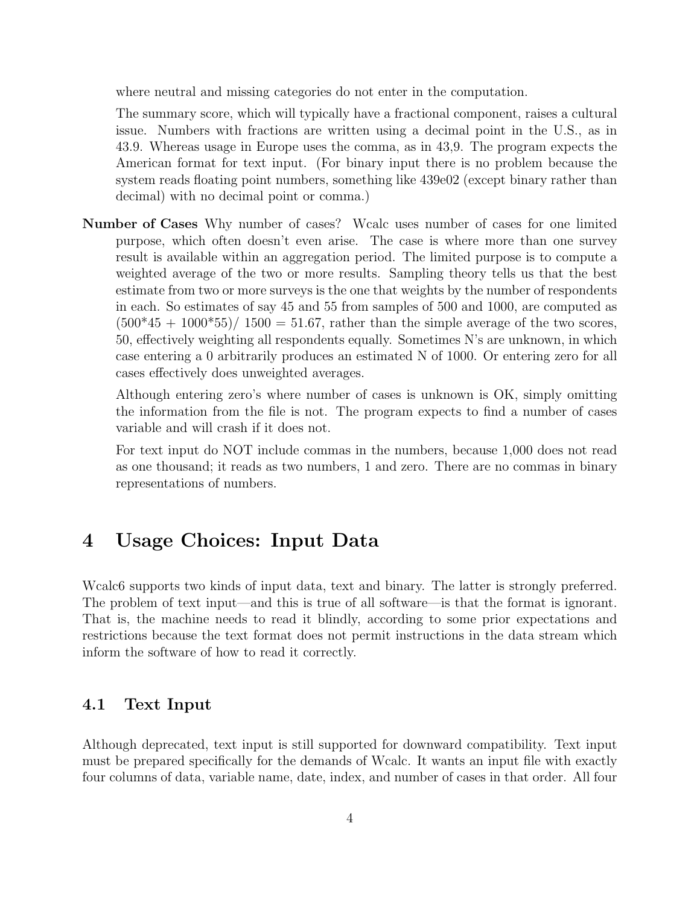where neutral and missing categories do not enter in the computation.

The summary score, which will typically have a fractional component, raises a cultural issue. Numbers with fractions are written using a decimal point in the U.S., as in 43.9. Whereas usage in Europe uses the comma, as in 43,9. The program expects the American format for text input. (For binary input there is no problem because the system reads floating point numbers, something like 439e02 (except binary rather than decimal) with no decimal point or comma.)

Number of Cases Why number of cases? Wcalc uses number of cases for one limited purpose, which often doesn't even arise. The case is where more than one survey result is available within an aggregation period. The limited purpose is to compute a weighted average of the two or more results. Sampling theory tells us that the best estimate from two or more surveys is the one that weights by the number of respondents in each. So estimates of say 45 and 55 from samples of 500 and 1000, are computed as  $(500*45 + 1000*55)/1500 = 51.67$ , rather than the simple average of the two scores, 50, effectively weighting all respondents equally. Sometimes N's are unknown, in which case entering a 0 arbitrarily produces an estimated N of 1000. Or entering zero for all cases effectively does unweighted averages.

Although entering zero's where number of cases is unknown is OK, simply omitting the information from the file is not. The program expects to find a number of cases variable and will crash if it does not.

For text input do NOT include commas in the numbers, because 1,000 does not read as one thousand; it reads as two numbers, 1 and zero. There are no commas in binary representations of numbers.

### 4 Usage Choices: Input Data

Wcalc6 supports two kinds of input data, text and binary. The latter is strongly preferred. The problem of text input—and this is true of all software—is that the format is ignorant. That is, the machine needs to read it blindly, according to some prior expectations and restrictions because the text format does not permit instructions in the data stream which inform the software of how to read it correctly.

### 4.1 Text Input

Although deprecated, text input is still supported for downward compatibility. Text input must be prepared specifically for the demands of Wcalc. It wants an input file with exactly four columns of data, variable name, date, index, and number of cases in that order. All four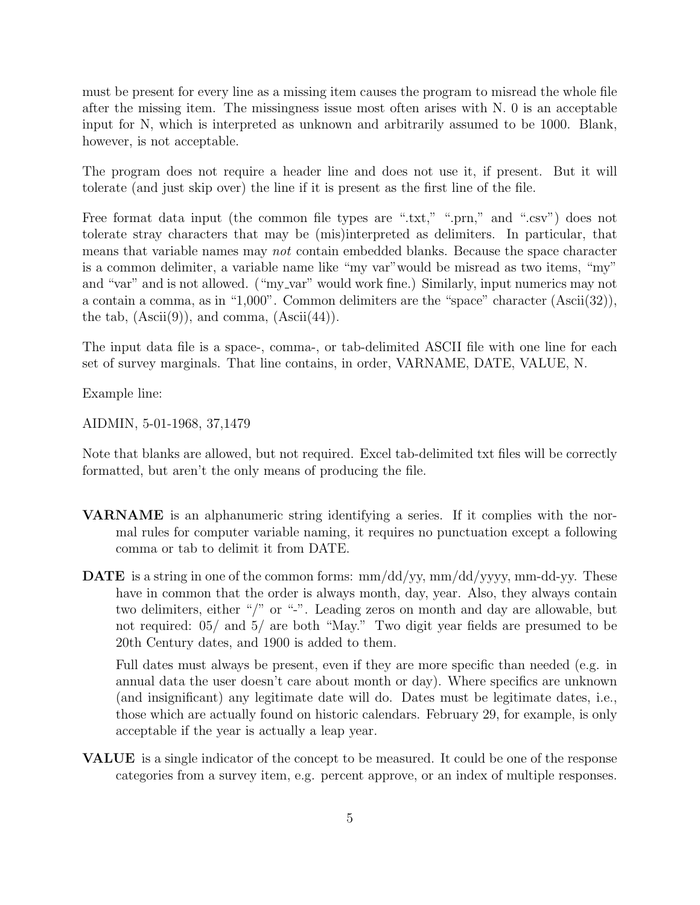must be present for every line as a missing item causes the program to misread the whole file after the missing item. The missingness issue most often arises with N. 0 is an acceptable input for N, which is interpreted as unknown and arbitrarily assumed to be 1000. Blank, however, is not acceptable.

The program does not require a header line and does not use it, if present. But it will tolerate (and just skip over) the line if it is present as the first line of the file.

Free format data input (the common file types are ".txt," ".prn," and ".csv") does not tolerate stray characters that may be (mis)interpreted as delimiters. In particular, that means that variable names may not contain embedded blanks. Because the space character is a common delimiter, a variable name like "my var"would be misread as two items, "my" and "var" and is not allowed. ("my\_var" would work fine.) Similarly, input numerics may not a contain a comma, as in "1,000". Common delimiters are the "space" character (Ascii(32)), the tab,  $(A\text{scii}(9))$ , and comma,  $(A\text{scii}(44))$ .

The input data file is a space-, comma-, or tab-delimited ASCII file with one line for each set of survey marginals. That line contains, in order, VARNAME, DATE, VALUE, N.

Example line:

AIDMIN, 5-01-1968, 37,1479

Note that blanks are allowed, but not required. Excel tab-delimited txt files will be correctly formatted, but aren't the only means of producing the file.

- VARNAME is an alphanumeric string identifying a series. If it complies with the normal rules for computer variable naming, it requires no punctuation except a following comma or tab to delimit it from DATE.
- **DATE** is a string in one of the common forms:  $mm/dd/yy$ ,  $mm/dd/yy$ y,  $mm-dd-yy$ . These have in common that the order is always month, day, year. Also, they always contain two delimiters, either "/" or "-". Leading zeros on month and day are allowable, but not required: 05/ and 5/ are both "May." Two digit year fields are presumed to be 20th Century dates, and 1900 is added to them.

Full dates must always be present, even if they are more specific than needed (e.g. in annual data the user doesn't care about month or day). Where specifics are unknown (and insignificant) any legitimate date will do. Dates must be legitimate dates, i.e., those which are actually found on historic calendars. February 29, for example, is only acceptable if the year is actually a leap year.

VALUE is a single indicator of the concept to be measured. It could be one of the response categories from a survey item, e.g. percent approve, or an index of multiple responses.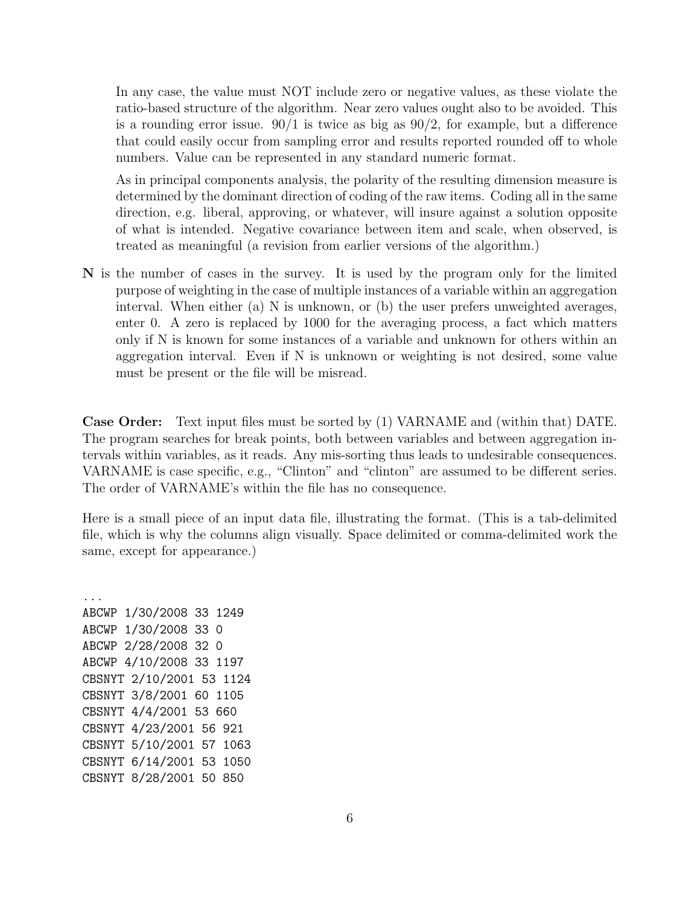In any case, the value must NOT include zero or negative values, as these violate the ratio-based structure of the algorithm. Near zero values ought also to be avoided. This is a rounding error issue.  $90/1$  is twice as big as  $90/2$ , for example, but a difference that could easily occur from sampling error and results reported rounded off to whole numbers. Value can be represented in any standard numeric format.

As in principal components analysis, the polarity of the resulting dimension measure is determined by the dominant direction of coding of the raw items. Coding all in the same direction, e.g. liberal, approving, or whatever, will insure against a solution opposite of what is intended. Negative covariance between item and scale, when observed, is treated as meaningful (a revision from earlier versions of the algorithm.)

N is the number of cases in the survey. It is used by the program only for the limited purpose of weighting in the case of multiple instances of a variable within an aggregation interval. When either (a) N is unknown, or (b) the user prefers unweighted averages, enter 0. A zero is replaced by 1000 for the averaging process, a fact which matters only if N is known for some instances of a variable and unknown for others within an aggregation interval. Even if N is unknown or weighting is not desired, some value must be present or the file will be misread.

Case Order: Text input files must be sorted by (1) VARNAME and (within that) DATE. The program searches for break points, both between variables and between aggregation intervals within variables, as it reads. Any mis-sorting thus leads to undesirable consequences. VARNAME is case specific, e.g., "Clinton" and "clinton" are assumed to be different series. The order of VARNAME's within the file has no consequence.

Here is a small piece of an input data file, illustrating the format. (This is a tab-delimited file, which is why the columns align visually. Space delimited or comma-delimited work the same, except for appearance.)

... ABCWP 1/30/2008 33 1249 ABCWP 1/30/2008 33 0 ABCWP 2/28/2008 32 0 ABCWP 4/10/2008 33 1197 CBSNYT 2/10/2001 53 1124 CBSNYT 3/8/2001 60 1105 CBSNYT 4/4/2001 53 660 CBSNYT 4/23/2001 56 921 CBSNYT 5/10/2001 57 1063 CBSNYT 6/14/2001 53 1050 CBSNYT 8/28/2001 50 850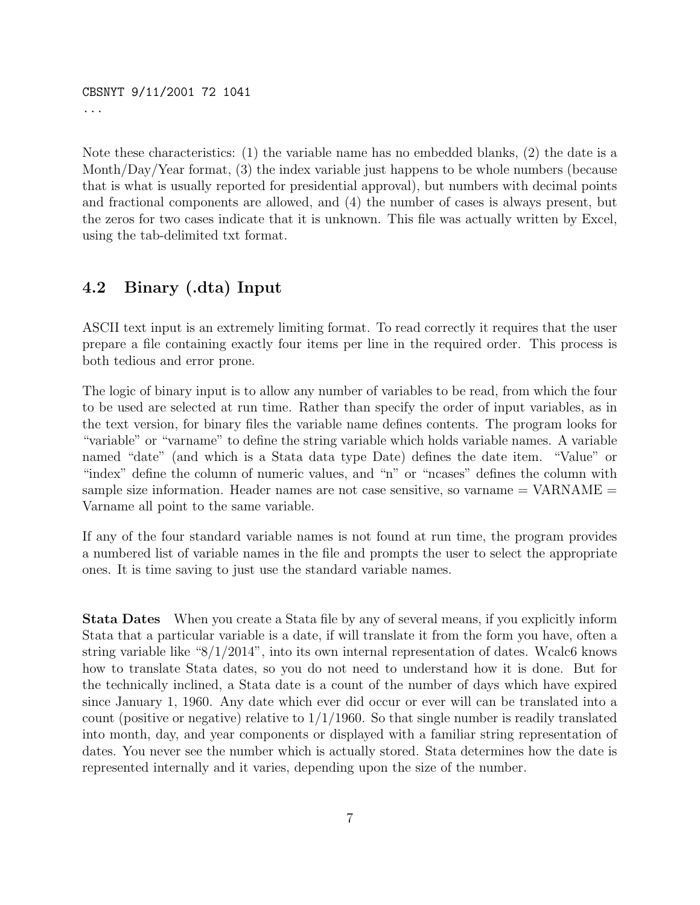CBSNYT 9/11/2001 72 1041 ...

Note these characteristics: (1) the variable name has no embedded blanks, (2) the date is a Month/Day/Year format, (3) the index variable just happens to be whole numbers (because that is what is usually reported for presidential approval), but numbers with decimal points and fractional components are allowed, and (4) the number of cases is always present, but the zeros for two cases indicate that it is unknown. This file was actually written by Excel, using the tab-delimited txt format.

### 4.2 Binary (.dta) Input

ASCII text input is an extremely limiting format. To read correctly it requires that the user prepare a file containing exactly four items per line in the required order. This process is both tedious and error prone.

The logic of binary input is to allow any number of variables to be read, from which the four to be used are selected at run time. Rather than specify the order of input variables, as in the text version, for binary files the variable name defines contents. The program looks for "variable" or "varname" to define the string variable which holds variable names. A variable named "date" (and which is a Stata data type Date) defines the date item. "Value" or "index" define the column of numeric values, and "n" or "ncases" defines the column with sample size information. Header names are not case sensitive, so varname  $= \text{VARNAME} =$ Varname all point to the same variable.

If any of the four standard variable names is not found at run time, the program provides a numbered list of variable names in the file and prompts the user to select the appropriate ones. It is time saving to just use the standard variable names.

Stata Dates When you create a Stata file by any of several means, if you explicitly inform Stata that a particular variable is a date, if will translate it from the form you have, often a string variable like " $8/1/2014$ ", into its own internal representation of dates. Wcalc6 knows how to translate Stata dates, so you do not need to understand how it is done. But for the technically inclined, a Stata date is a count of the number of days which have expired since January 1, 1960. Any date which ever did occur or ever will can be translated into a count (positive or negative) relative to  $1/1/1960$ . So that single number is readily translated into month, day, and year components or displayed with a familiar string representation of dates. You never see the number which is actually stored. Stata determines how the date is represented internally and it varies, depending upon the size of the number.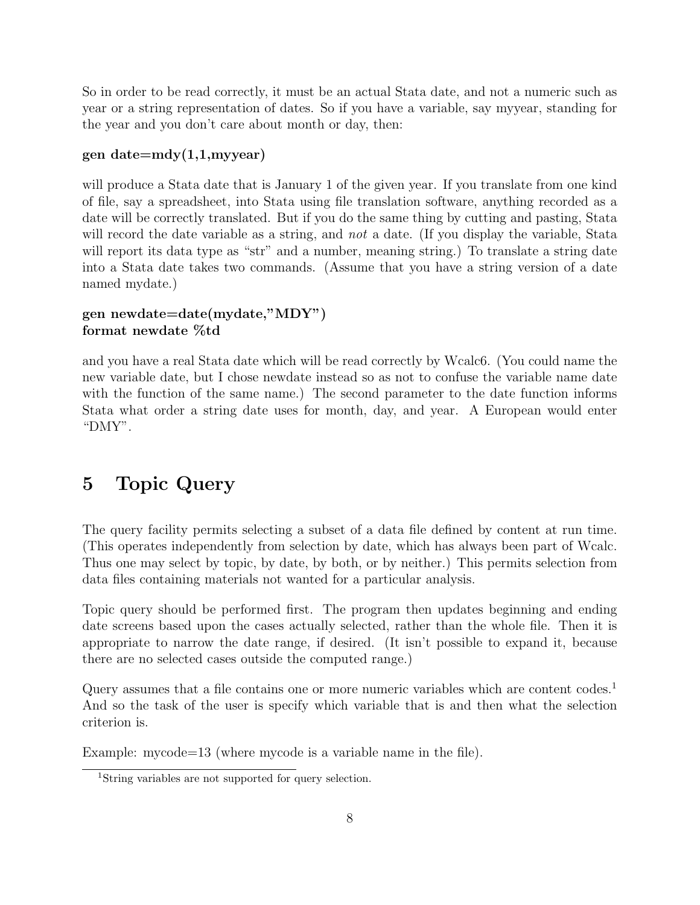So in order to be read correctly, it must be an actual Stata date, and not a numeric such as year or a string representation of dates. So if you have a variable, say myyear, standing for the year and you don't care about month or day, then:

#### gen date=mdy(1,1,myyear)

will produce a Stata date that is January 1 of the given year. If you translate from one kind of file, say a spreadsheet, into Stata using file translation software, anything recorded as a date will be correctly translated. But if you do the same thing by cutting and pasting, Stata will record the date variable as a string, and *not* a date. (If you display the variable, Stata will report its data type as "str" and a number, meaning string.) To translate a string date into a Stata date takes two commands. (Assume that you have a string version of a date named mydate.)

### gen newdate=date(mydate,"MDY") format newdate %td

and you have a real Stata date which will be read correctly by Wcalc6. (You could name the new variable date, but I chose newdate instead so as not to confuse the variable name date with the function of the same name.) The second parameter to the date function informs Stata what order a string date uses for month, day, and year. A European would enter "DMY".

# 5 Topic Query

The query facility permits selecting a subset of a data file defined by content at run time. (This operates independently from selection by date, which has always been part of Wcalc. Thus one may select by topic, by date, by both, or by neither.) This permits selection from data files containing materials not wanted for a particular analysis.

Topic query should be performed first. The program then updates beginning and ending date screens based upon the cases actually selected, rather than the whole file. Then it is appropriate to narrow the date range, if desired. (It isn't possible to expand it, because there are no selected cases outside the computed range.)

Query assumes that a file contains one or more numeric variables which are content codes.<sup>1</sup> And so the task of the user is specify which variable that is and then what the selection criterion is.

Example: mycode=13 (where mycode is a variable name in the file).

<sup>1</sup>String variables are not supported for query selection.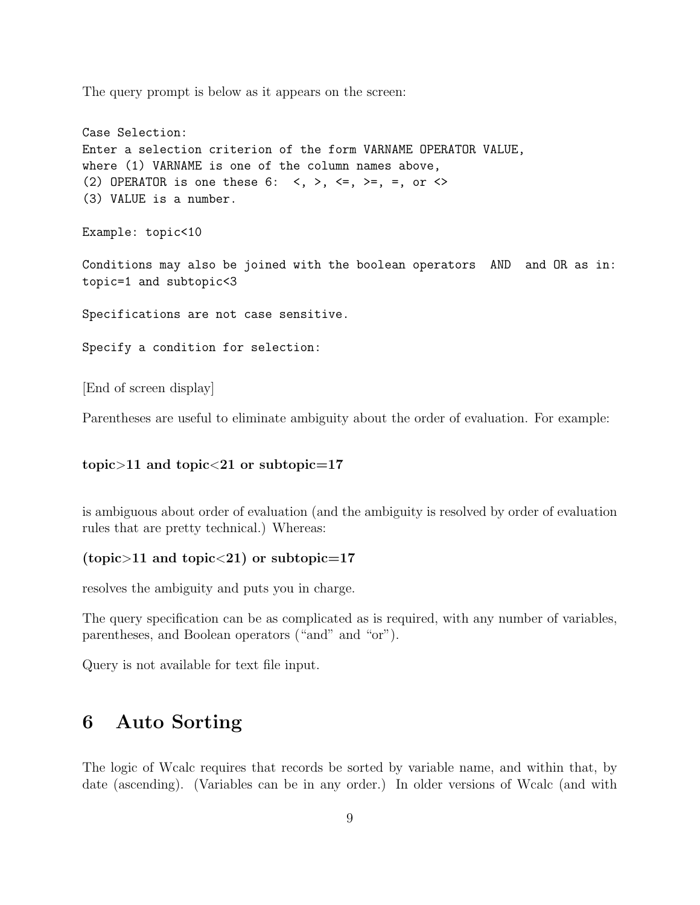The query prompt is below as it appears on the screen:

```
Case Selection:
Enter a selection criterion of the form VARNAME OPERATOR VALUE,
where (1) VARNAME is one of the column names above,
(2) OPERATOR is one these 6: \langle , \rangle, \langle =, \rangle =, =, or \langle >(3) VALUE is a number.
Example: topic<10
Conditions may also be joined with the boolean operators AND and OR as in:
topic=1 and subtopic<3
Specifications are not case sensitive.
Specify a condition for selection:
```
[End of screen display]

Parentheses are useful to eliminate ambiguity about the order of evaluation. For example:

#### topic $>11$  and topic $<$ 21 or subtopic=17

is ambiguous about order of evaluation (and the ambiguity is resolved by order of evaluation rules that are pretty technical.) Whereas:

#### (topic>11 and topic<21) or subtopic=17

resolves the ambiguity and puts you in charge.

The query specification can be as complicated as is required, with any number of variables, parentheses, and Boolean operators ("and" and "or").

Query is not available for text file input.

### 6 Auto Sorting

The logic of Wcalc requires that records be sorted by variable name, and within that, by date (ascending). (Variables can be in any order.) In older versions of Wcalc (and with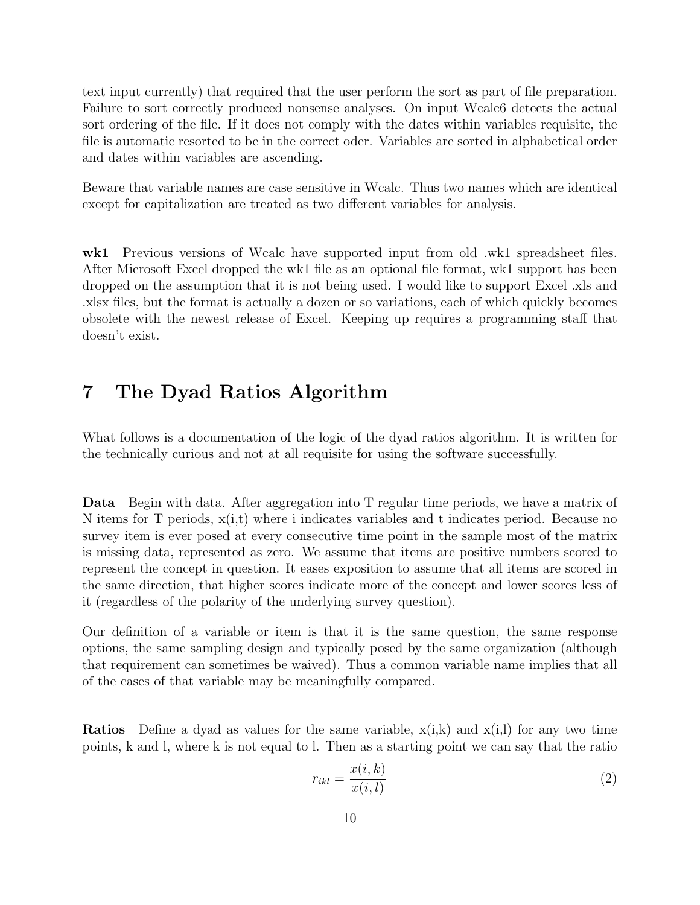text input currently) that required that the user perform the sort as part of file preparation. Failure to sort correctly produced nonsense analyses. On input Wcalc6 detects the actual sort ordering of the file. If it does not comply with the dates within variables requisite, the file is automatic resorted to be in the correct oder. Variables are sorted in alphabetical order and dates within variables are ascending.

Beware that variable names are case sensitive in Wcalc. Thus two names which are identical except for capitalization are treated as two different variables for analysis.

wk1 Previous versions of Wcalc have supported input from old .wk1 spreadsheet files. After Microsoft Excel dropped the wk1 file as an optional file format, wk1 support has been dropped on the assumption that it is not being used. I would like to support Excel .xls and .xlsx files, but the format is actually a dozen or so variations, each of which quickly becomes obsolete with the newest release of Excel. Keeping up requires a programming staff that doesn't exist.

## 7 The Dyad Ratios Algorithm

What follows is a documentation of the logic of the dyad ratios algorithm. It is written for the technically curious and not at all requisite for using the software successfully.

Data Begin with data. After aggregation into T regular time periods, we have a matrix of N items for T periods,  $x(i,t)$  where i indicates variables and t indicates period. Because no survey item is ever posed at every consecutive time point in the sample most of the matrix is missing data, represented as zero. We assume that items are positive numbers scored to represent the concept in question. It eases exposition to assume that all items are scored in the same direction, that higher scores indicate more of the concept and lower scores less of it (regardless of the polarity of the underlying survey question).

Our definition of a variable or item is that it is the same question, the same response options, the same sampling design and typically posed by the same organization (although that requirement can sometimes be waived). Thus a common variable name implies that all of the cases of that variable may be meaningfully compared.

**Ratios** Define a dyad as values for the same variable,  $x(i,k)$  and  $x(i,l)$  for any two time points, k and l, where k is not equal to l. Then as a starting point we can say that the ratio

$$
r_{ikl} = \frac{x(i,k)}{x(i,l)}\tag{2}
$$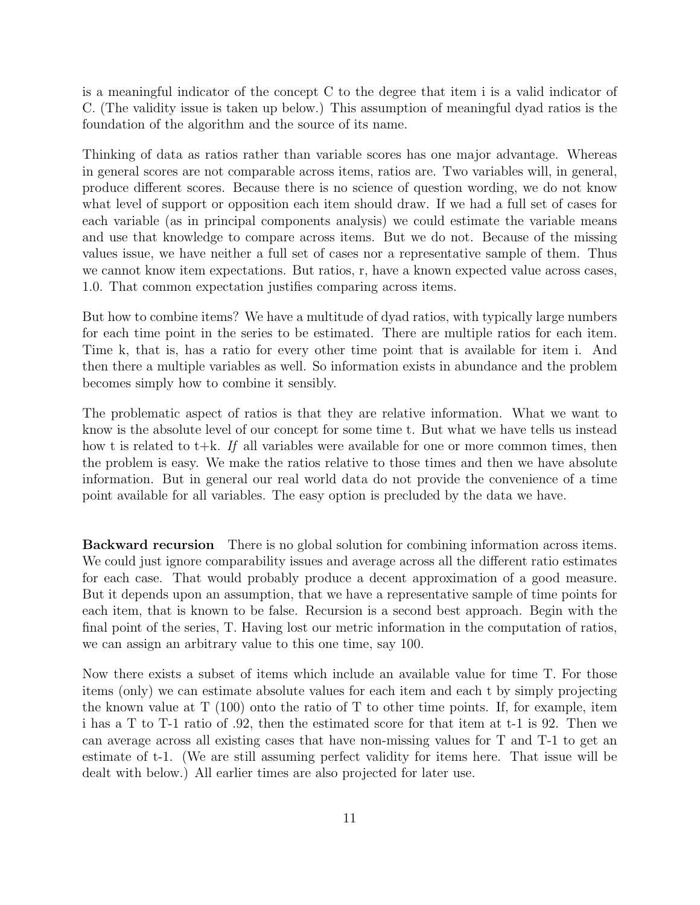is a meaningful indicator of the concept C to the degree that item i is a valid indicator of C. (The validity issue is taken up below.) This assumption of meaningful dyad ratios is the foundation of the algorithm and the source of its name.

Thinking of data as ratios rather than variable scores has one major advantage. Whereas in general scores are not comparable across items, ratios are. Two variables will, in general, produce different scores. Because there is no science of question wording, we do not know what level of support or opposition each item should draw. If we had a full set of cases for each variable (as in principal components analysis) we could estimate the variable means and use that knowledge to compare across items. But we do not. Because of the missing values issue, we have neither a full set of cases nor a representative sample of them. Thus we cannot know item expectations. But ratios, r, have a known expected value across cases, 1.0. That common expectation justifies comparing across items.

But how to combine items? We have a multitude of dyad ratios, with typically large numbers for each time point in the series to be estimated. There are multiple ratios for each item. Time k, that is, has a ratio for every other time point that is available for item i. And then there a multiple variables as well. So information exists in abundance and the problem becomes simply how to combine it sensibly.

The problematic aspect of ratios is that they are relative information. What we want to know is the absolute level of our concept for some time t. But what we have tells us instead how t is related to t $+k$ . If all variables were available for one or more common times, then the problem is easy. We make the ratios relative to those times and then we have absolute information. But in general our real world data do not provide the convenience of a time point available for all variables. The easy option is precluded by the data we have.

Backward recursion There is no global solution for combining information across items. We could just ignore comparability issues and average across all the different ratio estimates for each case. That would probably produce a decent approximation of a good measure. But it depends upon an assumption, that we have a representative sample of time points for each item, that is known to be false. Recursion is a second best approach. Begin with the final point of the series, T. Having lost our metric information in the computation of ratios, we can assign an arbitrary value to this one time, say 100.

Now there exists a subset of items which include an available value for time T. For those items (only) we can estimate absolute values for each item and each t by simply projecting the known value at  $T(100)$  onto the ratio of T to other time points. If, for example, item i has a T to T-1 ratio of .92, then the estimated score for that item at t-1 is 92. Then we can average across all existing cases that have non-missing values for T and T-1 to get an estimate of t-1. (We are still assuming perfect validity for items here. That issue will be dealt with below.) All earlier times are also projected for later use.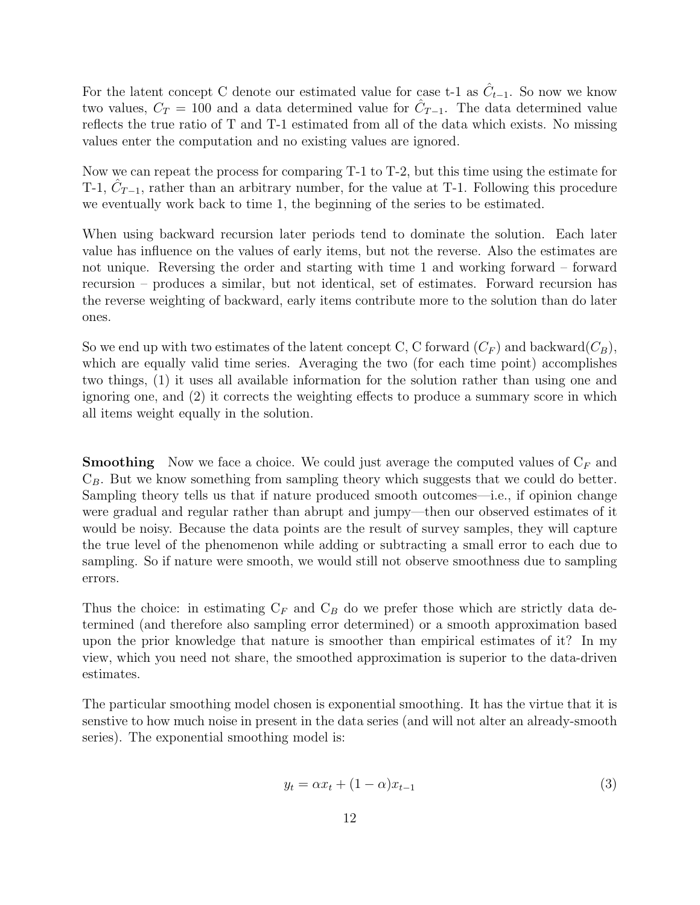For the latent concept C denote our estimated value for case t-1 as  $\hat{C}_{t-1}$ . So now we know two values,  $C_T = 100$  and a data determined value for  $\hat{C}_{T-1}$ . The data determined value reflects the true ratio of T and T-1 estimated from all of the data which exists. No missing values enter the computation and no existing values are ignored.

Now we can repeat the process for comparing T-1 to T-2, but this time using the estimate for T-1,  $\hat{C}_{T-1}$ , rather than an arbitrary number, for the value at T-1. Following this procedure we eventually work back to time 1, the beginning of the series to be estimated.

When using backward recursion later periods tend to dominate the solution. Each later value has influence on the values of early items, but not the reverse. Also the estimates are not unique. Reversing the order and starting with time 1 and working forward – forward recursion – produces a similar, but not identical, set of estimates. Forward recursion has the reverse weighting of backward, early items contribute more to the solution than do later ones.

So we end up with two estimates of the latent concept C, C forward  $(C_F)$  and backward  $(C_B)$ , which are equally valid time series. Averaging the two (for each time point) accomplishes two things, (1) it uses all available information for the solution rather than using one and ignoring one, and (2) it corrects the weighting effects to produce a summary score in which all items weight equally in the solution.

**Smoothing** Now we face a choice. We could just average the computed values of  $C_F$  and  $C_B$ . But we know something from sampling theory which suggests that we could do better. Sampling theory tells us that if nature produced smooth outcomes—i.e., if opinion change were gradual and regular rather than abrupt and jumpy—then our observed estimates of it would be noisy. Because the data points are the result of survey samples, they will capture the true level of the phenomenon while adding or subtracting a small error to each due to sampling. So if nature were smooth, we would still not observe smoothness due to sampling errors.

Thus the choice: in estimating  $C_F$  and  $C_B$  do we prefer those which are strictly data determined (and therefore also sampling error determined) or a smooth approximation based upon the prior knowledge that nature is smoother than empirical estimates of it? In my view, which you need not share, the smoothed approximation is superior to the data-driven estimates.

The particular smoothing model chosen is exponential smoothing. It has the virtue that it is senstive to how much noise in present in the data series (and will not alter an already-smooth series). The exponential smoothing model is:

$$
y_t = \alpha x_t + (1 - \alpha)x_{t-1} \tag{3}
$$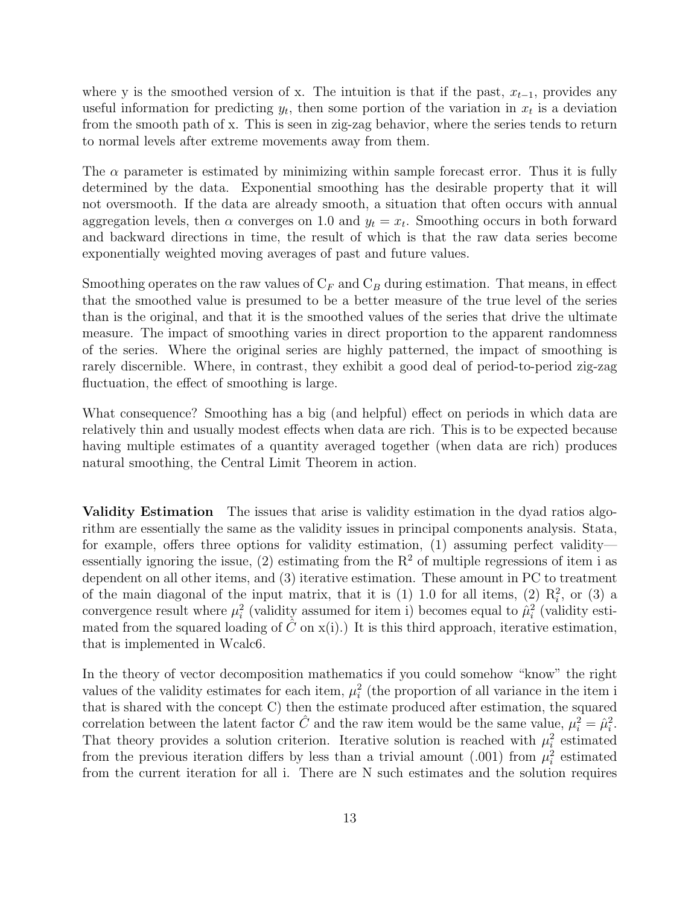where y is the smoothed version of x. The intuition is that if the past,  $x_{t-1}$ , provides any useful information for predicting  $y_t$ , then some portion of the variation in  $x_t$  is a deviation from the smooth path of x. This is seen in zig-zag behavior, where the series tends to return to normal levels after extreme movements away from them.

The  $\alpha$  parameter is estimated by minimizing within sample forecast error. Thus it is fully determined by the data. Exponential smoothing has the desirable property that it will not oversmooth. If the data are already smooth, a situation that often occurs with annual aggregation levels, then  $\alpha$  converges on 1.0 and  $y_t = x_t$ . Smoothing occurs in both forward and backward directions in time, the result of which is that the raw data series become exponentially weighted moving averages of past and future values.

Smoothing operates on the raw values of  $C_F$  and  $C_B$  during estimation. That means, in effect that the smoothed value is presumed to be a better measure of the true level of the series than is the original, and that it is the smoothed values of the series that drive the ultimate measure. The impact of smoothing varies in direct proportion to the apparent randomness of the series. Where the original series are highly patterned, the impact of smoothing is rarely discernible. Where, in contrast, they exhibit a good deal of period-to-period zig-zag fluctuation, the effect of smoothing is large.

What consequence? Smoothing has a big (and helpful) effect on periods in which data are relatively thin and usually modest effects when data are rich. This is to be expected because having multiple estimates of a quantity averaged together (when data are rich) produces natural smoothing, the Central Limit Theorem in action.

Validity Estimation The issues that arise is validity estimation in the dyad ratios algorithm are essentially the same as the validity issues in principal components analysis. Stata, for example, offers three options for validity estimation, (1) assuming perfect validity essentially ignoring the issue, (2) estimating from the  $R^2$  of multiple regressions of item i as dependent on all other items, and (3) iterative estimation. These amount in PC to treatment of the main diagonal of the input matrix, that it is  $(1)$  1.0 for all items,  $(2)$   $R_i^2$ , or  $(3)$  a convergence result where  $\mu_i^2$  (validity assumed for item i) becomes equal to  $\hat{\mu}_i^2$  (validity estimated from the squared loading of  $\hat{C}$  on  $x(i)$ . It is this third approach, iterative estimation, that is implemented in Wcalc6.

In the theory of vector decomposition mathematics if you could somehow "know" the right values of the validity estimates for each item,  $\mu_i^2$  (the proportion of all variance in the item i that is shared with the concept C) then the estimate produced after estimation, the squared correlation between the latent factor  $\hat{C}$  and the raw item would be the same value,  $\mu_i^2 = \hat{\mu}_i^2$ . That theory provides a solution criterion. Iterative solution is reached with  $\mu_i^2$  estimated from the previous iteration differs by less than a trivial amount (.001) from  $\mu_i^2$  estimated from the current iteration for all i. There are N such estimates and the solution requires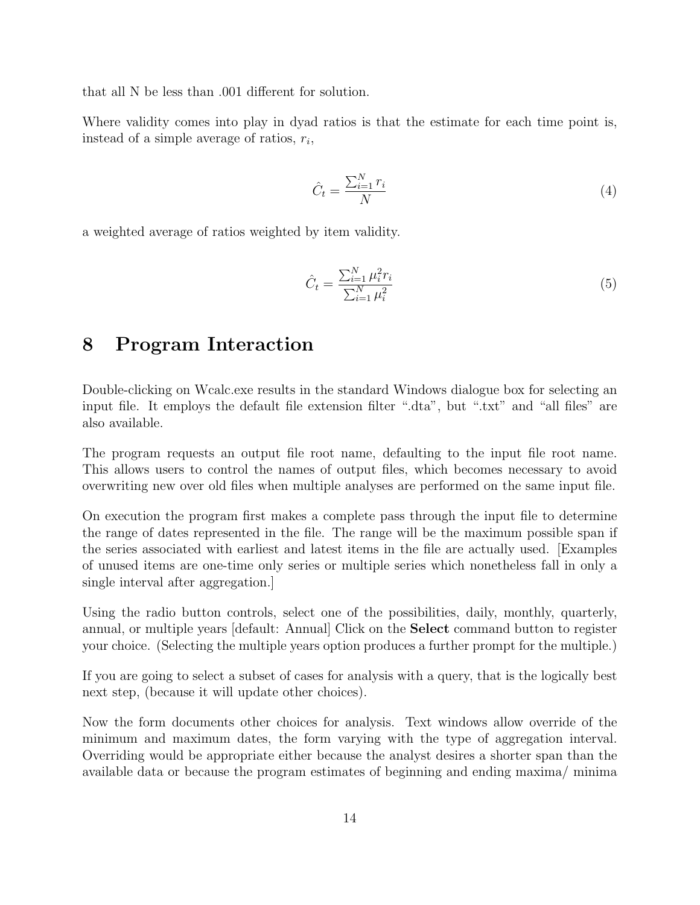that all N be less than .001 different for solution.

Where validity comes into play in dyad ratios is that the estimate for each time point is, instead of a simple average of ratios,  $r_i$ ,

$$
\hat{C}_t = \frac{\sum_{i=1}^N r_i}{N} \tag{4}
$$

a weighted average of ratios weighted by item validity.

$$
\hat{C}_t = \frac{\sum_{i=1}^N \mu_i^2 r_i}{\sum_{i=1}^N \mu_i^2} \tag{5}
$$

### 8 Program Interaction

Double-clicking on Wcalc.exe results in the standard Windows dialogue box for selecting an input file. It employs the default file extension filter ".dta", but ".txt" and "all files" are also available.

The program requests an output file root name, defaulting to the input file root name. This allows users to control the names of output files, which becomes necessary to avoid overwriting new over old files when multiple analyses are performed on the same input file.

On execution the program first makes a complete pass through the input file to determine the range of dates represented in the file. The range will be the maximum possible span if the series associated with earliest and latest items in the file are actually used. [Examples of unused items are one-time only series or multiple series which nonetheless fall in only a single interval after aggregation.]

Using the radio button controls, select one of the possibilities, daily, monthly, quarterly, annual, or multiple years [default: Annual] Click on the Select command button to register your choice. (Selecting the multiple years option produces a further prompt for the multiple.)

If you are going to select a subset of cases for analysis with a query, that is the logically best next step, (because it will update other choices).

Now the form documents other choices for analysis. Text windows allow override of the minimum and maximum dates, the form varying with the type of aggregation interval. Overriding would be appropriate either because the analyst desires a shorter span than the available data or because the program estimates of beginning and ending maxima/ minima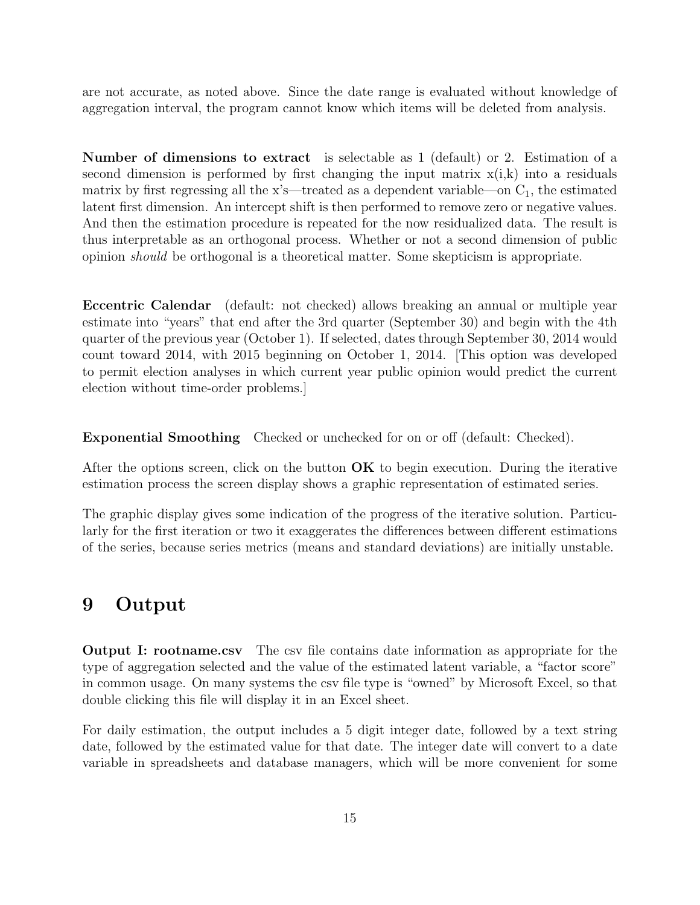are not accurate, as noted above. Since the date range is evaluated without knowledge of aggregation interval, the program cannot know which items will be deleted from analysis.

Number of dimensions to extract is selectable as 1 (default) or 2. Estimation of a second dimension is performed by first changing the input matrix  $x(i,k)$  into a residuals matrix by first regressing all the x's—treated as a dependent variable—on  $C_1$ , the estimated latent first dimension. An intercept shift is then performed to remove zero or negative values. And then the estimation procedure is repeated for the now residualized data. The result is thus interpretable as an orthogonal process. Whether or not a second dimension of public opinion should be orthogonal is a theoretical matter. Some skepticism is appropriate.

Eccentric Calendar (default: not checked) allows breaking an annual or multiple year estimate into "years" that end after the 3rd quarter (September 30) and begin with the 4th quarter of the previous year (October 1). If selected, dates through September 30, 2014 would count toward 2014, with 2015 beginning on October 1, 2014. [This option was developed to permit election analyses in which current year public opinion would predict the current election without time-order problems.]

Exponential Smoothing Checked or unchecked for on or off (default: Checked).

After the options screen, click on the button  $\overrightarrow{OK}$  to begin execution. During the iterative estimation process the screen display shows a graphic representation of estimated series.

The graphic display gives some indication of the progress of the iterative solution. Particularly for the first iteration or two it exaggerates the differences between different estimations of the series, because series metrics (means and standard deviations) are initially unstable.

### 9 Output

Output I: rootname.csv The csv file contains date information as appropriate for the type of aggregation selected and the value of the estimated latent variable, a "factor score" in common usage. On many systems the csv file type is "owned" by Microsoft Excel, so that double clicking this file will display it in an Excel sheet.

For daily estimation, the output includes a 5 digit integer date, followed by a text string date, followed by the estimated value for that date. The integer date will convert to a date variable in spreadsheets and database managers, which will be more convenient for some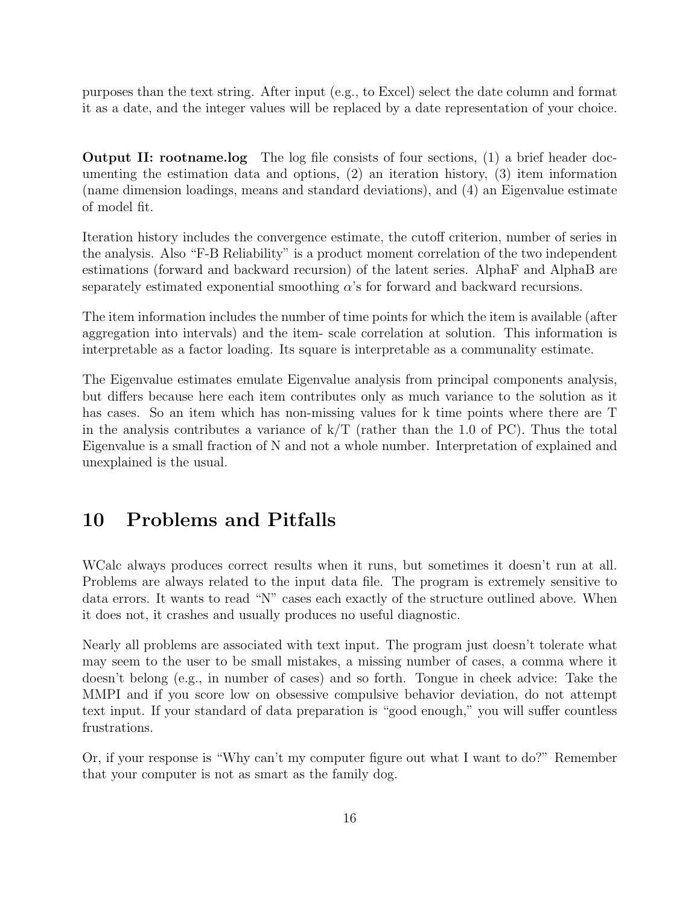purposes than the text string. After input (e.g., to Excel) select the date column and format it as a date, and the integer values will be replaced by a date representation of your choice.

Output II: rootname.log The log file consists of four sections, (1) a brief header documenting the estimation data and options, (2) an iteration history, (3) item information (name dimension loadings, means and standard deviations), and (4) an Eigenvalue estimate of model fit.

Iteration history includes the convergence estimate, the cutoff criterion, number of series in the analysis. Also "F-B Reliability" is a product moment correlation of the two independent estimations (forward and backward recursion) of the latent series. AlphaF and AlphaB are separately estimated exponential smoothing  $\alpha$ 's for forward and backward recursions.

The item information includes the number of time points for which the item is available (after aggregation into intervals) and the item- scale correlation at solution. This information is interpretable as a factor loading. Its square is interpretable as a communality estimate.

The Eigenvalue estimates emulate Eigenvalue analysis from principal components analysis, but differs because here each item contributes only as much variance to the solution as it has cases. So an item which has non-missing values for k time points where there are T in the analysis contributes a variance of  $k/T$  (rather than the 1.0 of PC). Thus the total Eigenvalue is a small fraction of N and not a whole number. Interpretation of explained and unexplained is the usual.

# 10 Problems and Pitfalls

WCalc always produces correct results when it runs, but sometimes it doesn't run at all. Problems are always related to the input data file. The program is extremely sensitive to data errors. It wants to read "N" cases each exactly of the structure outlined above. When it does not, it crashes and usually produces no useful diagnostic.

Nearly all problems are associated with text input. The program just doesn't tolerate what may seem to the user to be small mistakes, a missing number of cases, a comma where it doesn't belong (e.g., in number of cases) and so forth. Tongue in cheek advice: Take the MMPI and if you score low on obsessive compulsive behavior deviation, do not attempt text input. If your standard of data preparation is "good enough," you will suffer countless frustrations.

Or, if your response is "Why can't my computer figure out what I want to do?" Remember that your computer is not as smart as the family dog.